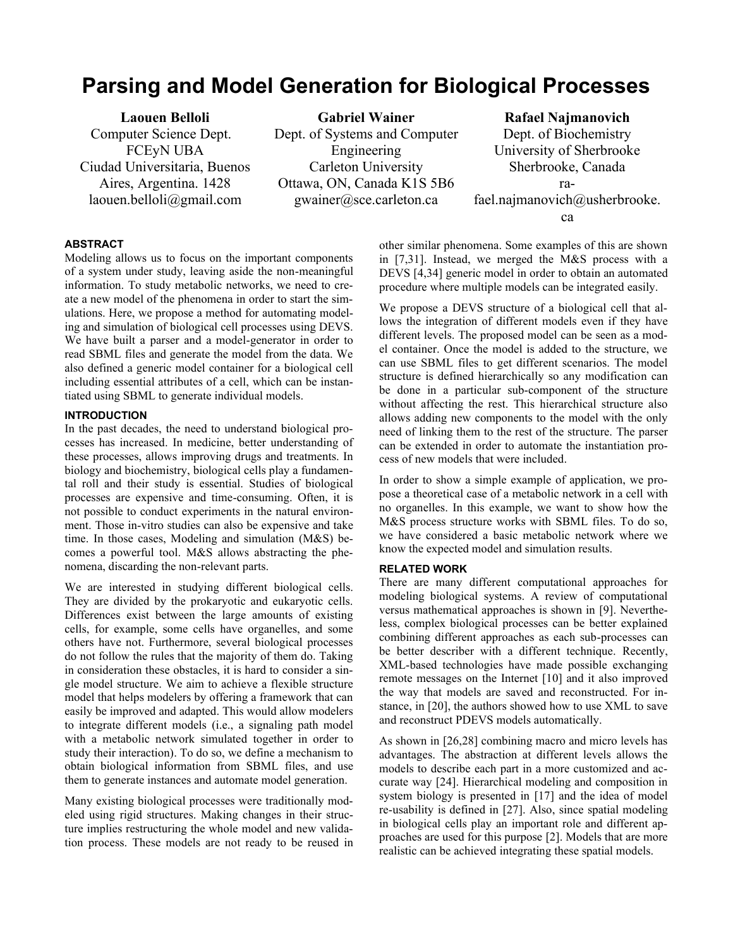# **Parsing and Model Generation for Biological Processes**

**Laouen Belloli** Computer Science Dept. FCEyN UBA Ciudad Universitaria, Buenos Aires, Argentina. 1428 laouen.belloli@gmail.com

**Gabriel Wainer** Dept. of Systems and Computer Engineering Carleton University Ottawa, ON, Canada K1S 5B6 gwainer@sce.carleton.ca

**Rafael Najmanovich** Dept. of Biochemistry University of Sherbrooke Sherbrooke, Canada rafael.najmanovich@usherbrooke. ca

# **ABSTRACT**

Modeling allows us to focus on the important components of a system under study, leaving aside the non-meaningful information. To study metabolic networks, we need to create a new model of the phenomena in order to start the simulations. Here, we propose a method for automating modeling and simulation of biological cell processes using DEVS. We have built a parser and a model-generator in order to read SBML files and generate the model from the data. We also defined a generic model container for a biological cell including essential attributes of a cell, which can be instantiated using SBML to generate individual models.

## **INTRODUCTION**

In the past decades, the need to understand biological processes has increased. In medicine, better understanding of these processes, allows improving drugs and treatments. In biology and biochemistry, biological cells play a fundamental roll and their study is essential. Studies of biological processes are expensive and time-consuming. Often, it is not possible to conduct experiments in the natural environment. Those in-vitro studies can also be expensive and take time. In those cases, Modeling and simulation (M&S) becomes a powerful tool. M&S allows abstracting the phenomena, discarding the non-relevant parts.

We are interested in studying different biological cells. They are divided by the prokaryotic and eukaryotic cells. Differences exist between the large amounts of existing cells, for example, some cells have organelles, and some others have not. Furthermore, several biological processes do not follow the rules that the majority of them do. Taking in consideration these obstacles, it is hard to consider a single model structure. We aim to achieve a flexible structure model that helps modelers by offering a framework that can easily be improved and adapted. This would allow modelers to integrate different models (i.e., a signaling path model with a metabolic network simulated together in order to study their interaction). To do so, we define a mechanism to obtain biological information from SBML files, and use them to generate instances and automate model generation.

Many existing biological processes were traditionally modeled using rigid structures. Making changes in their structure implies restructuring the whole model and new validation process. These models are not ready to be reused in other similar phenomena. Some examples of this are shown in [7,31]. Instead, we merged the M&S process with a DEVS [4,34] generic model in order to obtain an automated procedure where multiple models can be integrated easily.

We propose a DEVS structure of a biological cell that allows the integration of different models even if they have different levels. The proposed model can be seen as a model container. Once the model is added to the structure, we can use SBML files to get different scenarios. The model structure is defined hierarchically so any modification can be done in a particular sub-component of the structure without affecting the rest. This hierarchical structure also allows adding new components to the model with the only need of linking them to the rest of the structure. The parser can be extended in order to automate the instantiation process of new models that were included.

In order to show a simple example of application, we propose a theoretical case of a metabolic network in a cell with no organelles. In this example, we want to show how the M&S process structure works with SBML files. To do so, we have considered a basic metabolic network where we know the expected model and simulation results.

### **RELATED WORK**

There are many different computational approaches for modeling biological systems. A review of computational versus mathematical approaches is shown in [9]. Nevertheless, complex biological processes can be better explained combining different approaches as each sub-processes can be better describer with a different technique. Recently, XML-based technologies have made possible exchanging remote messages on the Internet [10] and it also improved the way that models are saved and reconstructed. For instance, in [20], the authors showed how to use XML to save and reconstruct PDEVS models automatically.

As shown in [26,28] combining macro and micro levels has advantages. The abstraction at different levels allows the models to describe each part in a more customized and accurate way [24]. Hierarchical modeling and composition in system biology is presented in [17] and the idea of model re-usability is defined in [27]. Also, since spatial modeling in biological cells play an important role and different approaches are used for this purpose [2]. Models that are more realistic can be achieved integrating these spatial models.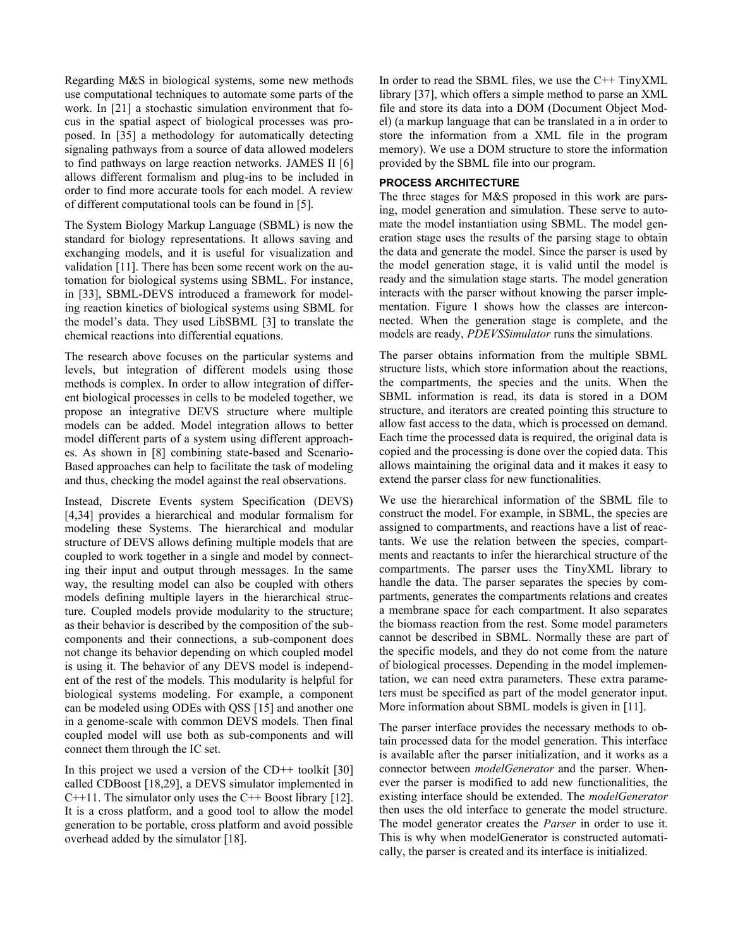Regarding M&S in biological systems, some new methods use computational techniques to automate some parts of the work. In [21] a stochastic simulation environment that focus in the spatial aspect of biological processes was proposed. In [35] a methodology for automatically detecting signaling pathways from a source of data allowed modelers to find pathways on large reaction networks. JAMES II [6] allows different formalism and plug-ins to be included in order to find more accurate tools for each model. A review of different computational tools can be found in [5].

The System Biology Markup Language (SBML) is now the standard for biology representations. It allows saving and exchanging models, and it is useful for visualization and validation [11]. There has been some recent work on the automation for biological systems using SBML. For instance, in [33], SBML-DEVS introduced a framework for modeling reaction kinetics of biological systems using SBML for the model's data. They used LibSBML [3] to translate the chemical reactions into differential equations.

The research above focuses on the particular systems and levels, but integration of different models using those methods is complex. In order to allow integration of different biological processes in cells to be modeled together, we propose an integrative DEVS structure where multiple models can be added. Model integration allows to better model different parts of a system using different approaches. As shown in [8] combining state-based and Scenario-Based approaches can help to facilitate the task of modeling and thus, checking the model against the real observations.

Instead, Discrete Events system Specification (DEVS) [4,34] provides a hierarchical and modular formalism for modeling these Systems. The hierarchical and modular structure of DEVS allows defining multiple models that are coupled to work together in a single and model by connecting their input and output through messages. In the same way, the resulting model can also be coupled with others models defining multiple layers in the hierarchical structure. Coupled models provide modularity to the structure; as their behavior is described by the composition of the subcomponents and their connections, a sub-component does not change its behavior depending on which coupled model is using it. The behavior of any DEVS model is independent of the rest of the models. This modularity is helpful for biological systems modeling. For example, a component can be modeled using ODEs with QSS [15] and another one in a genome-scale with common DEVS models. Then final coupled model will use both as sub-components and will connect them through the IC set.

In this project we used a version of the CD++ toolkit  $[30]$ called CDBoost [18,29], a DEVS simulator implemented in  $C++11$ . The simulator only uses the  $C++$  Boost library [12]. It is a cross platform, and a good tool to allow the model generation to be portable, cross platform and avoid possible overhead added by the simulator [18].

In order to read the SBML files, we use the  $C++TinyXML$ library [37], which offers a simple method to parse an XML file and store its data into a DOM (Document Object Model) (a markup language that can be translated in a in order to store the information from a XML file in the program memory). We use a DOM structure to store the information provided by the SBML file into our program.

## **PROCESS ARCHITECTURE**

The three stages for M&S proposed in this work are parsing, model generation and simulation. These serve to automate the model instantiation using SBML. The model generation stage uses the results of the parsing stage to obtain the data and generate the model. Since the parser is used by the model generation stage, it is valid until the model is ready and the simulation stage starts. The model generation interacts with the parser without knowing the parser implementation. Figure 1 shows how the classes are interconnected. When the generation stage is complete, and the models are ready, *PDEVSSimulator* runs the simulations.

The parser obtains information from the multiple SBML structure lists, which store information about the reactions, the compartments, the species and the units. When the SBML information is read, its data is stored in a DOM structure, and iterators are created pointing this structure to allow fast access to the data, which is processed on demand. Each time the processed data is required, the original data is copied and the processing is done over the copied data. This allows maintaining the original data and it makes it easy to extend the parser class for new functionalities.

We use the hierarchical information of the SBML file to construct the model. For example, in SBML, the species are assigned to compartments, and reactions have a list of reactants. We use the relation between the species, compartments and reactants to infer the hierarchical structure of the compartments. The parser uses the TinyXML library to handle the data. The parser separates the species by compartments, generates the compartments relations and creates a membrane space for each compartment. It also separates the biomass reaction from the rest. Some model parameters cannot be described in SBML. Normally these are part of the specific models, and they do not come from the nature of biological processes. Depending in the model implementation, we can need extra parameters. These extra parameters must be specified as part of the model generator input. More information about SBML models is given in [11].

The parser interface provides the necessary methods to obtain processed data for the model generation. This interface is available after the parser initialization, and it works as a connector between *modelGenerator* and the parser. Whenever the parser is modified to add new functionalities, the existing interface should be extended. The *modelGenerator* then uses the old interface to generate the model structure. The model generator creates the *Parser* in order to use it. This is why when modelGenerator is constructed automatically, the parser is created and its interface is initialized.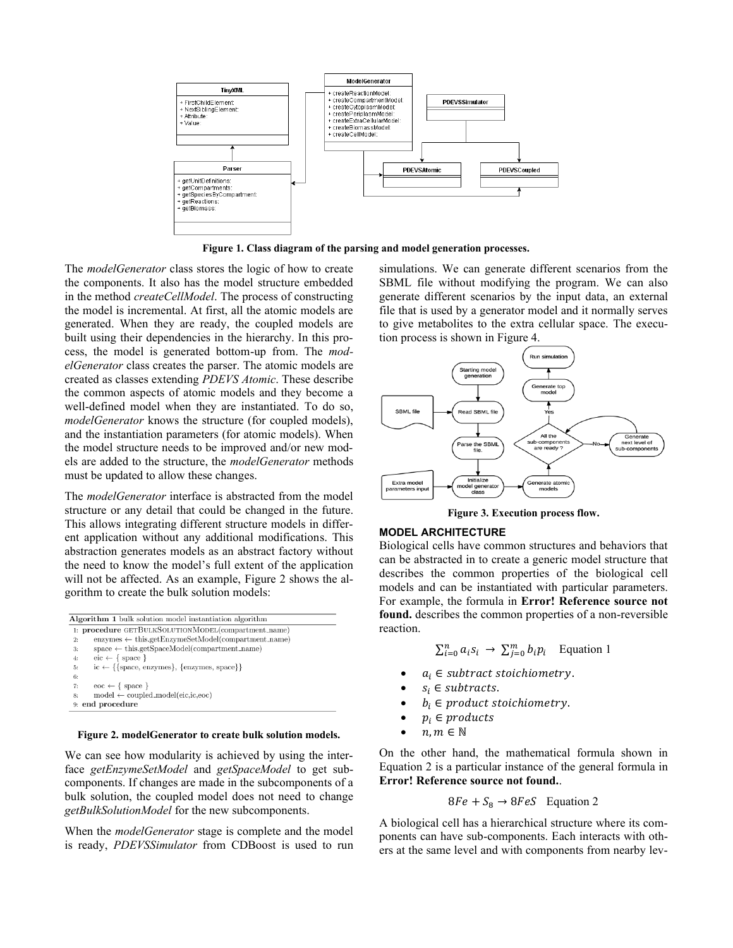

**Figure 1. Class diagram of the parsing and model generation processes.**

The *modelGenerator* class stores the logic of how to create the components. It also has the model structure embedded in the method *createCellModel*. The process of constructing the model is incremental. At first, all the atomic models are generated. When they are ready, the coupled models are built using their dependencies in the hierarchy. In this process, the model is generated bottom-up from. The *modelGenerator* class creates the parser. The atomic models are created as classes extending *PDEVS Atomic*. These describe the common aspects of atomic models and they become a well-defined model when they are instantiated. To do so, *modelGenerator* knows the structure (for coupled models), and the instantiation parameters (for atomic models). When the model structure needs to be improved and/or new models are added to the structure, the *modelGenerator* methods must be updated to allow these changes.

The *modelGenerator* interface is abstracted from the model structure or any detail that could be changed in the future. This allows integrating different structure models in different application without any additional modifications. This abstraction generates models as an abstract factory without the need to know the model's full extent of the application will not be affected. As an example, [Figure 2](#page-2-0) shows the algorithm to create the bulk solution models:

```
Algorithm 1 bulk solution model instantiation algorithm
1: procedure GETBULKSOLUTIONMODEL(compartment_name)
        \textit{enzyms} \gets \textit{this.getEnzymeSetModel}(\textit{compartment_name})2:space \leftarrow this.getSpaceModel( compartment_name)3:\text{eic} \leftarrow \{ \text{ space } \}4:5:ic \leftarrow \{\text{space}, \text{enzynes}\}, \{\text{enzynes}, \text{space}\}\}\6:\text{eoc} \gets \{ \text{ space } \}7:\text{model} \gets \text{coupled\_model}( \text{eic}, \text{ic}, \text{eoc})9: end procedure
```
#### <span id="page-2-0"></span>**Figure 2. modelGenerator to create bulk solution models.**

We can see how modularity is achieved by using the interface *getEnzymeSetModel* and *getSpaceModel* to get subcomponents. If changes are made in the subcomponents of a bulk solution, the coupled model does not need to change *getBulkSolutionModel* for the new subcomponents.

When the *modelGenerator* stage is complete and the model is ready, *PDEVSSimulator* from CDBoost is used to run simulations. We can generate different scenarios from the SBML file without modifying the program. We can also generate different scenarios by the input data, an external file that is used by a generator model and it normally serves to give metabolites to the extra cellular space. The execution process is shown in Figure 4.



**Figure 3. Execution process flow.**

## **MODEL ARCHITECTURE**

Biological cells have common structures and behaviors that can be abstracted in to create a generic model structure that describes the common properties of the biological cell models and can be instantiated with particular parameters. For example, the formula in **Error! Reference source not found.** describes the common properties of a non-reversible reaction.

 $\sum_{i=0}^{n} a_i s_i \rightarrow \sum_{j=0}^{m} b_i p_i$  Equation 1

- $a_i \in$  subtract stoichiometry.
- $s_i \in subtracts$ .
- $b_i \in product\,sto,$  stoichiometry.
- $p_i \in products$
- $n, m \in \mathbb{N}$

On the other hand, the mathematical formula shown i[n](#page-2-1)  [Equation 2](#page-2-1) is a particular instance of the general formula in **Error! Reference source not found.**.

<span id="page-2-1"></span>
$$
8Fe + S_8 \rightarrow 8FeS
$$
 Equation 2

A biological cell has a hierarchical structure where its components can have sub-components. Each interacts with others at the same level and with components from nearby lev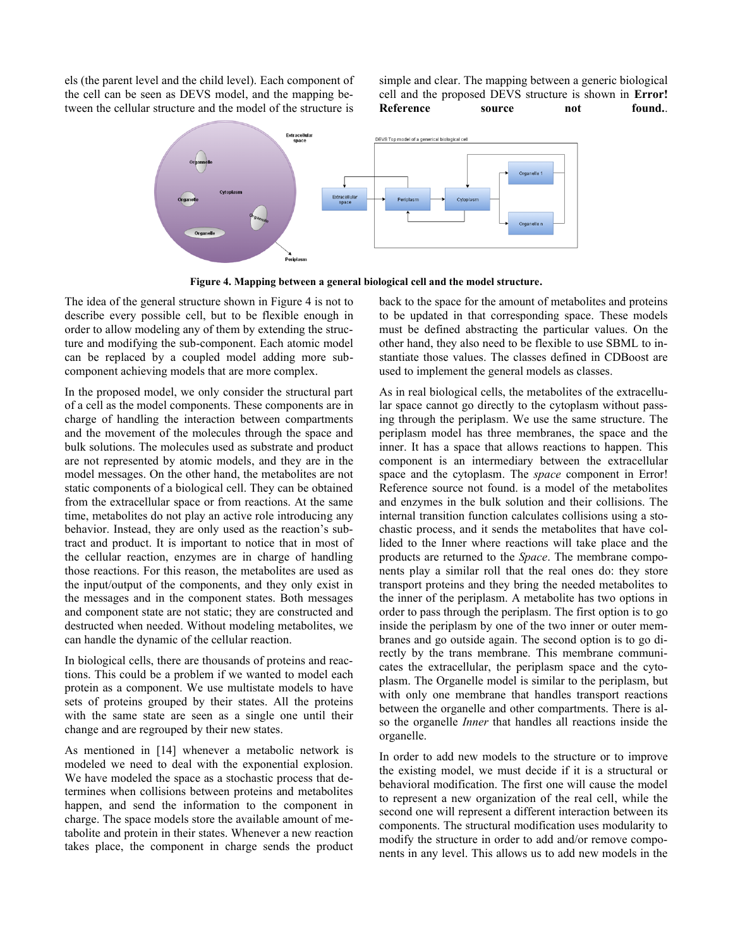els (the parent level and the child level). Each component of the cell can be seen as DEVS model, and the mapping between the cellular structure and the model of the structure is

simple and clear. The mapping between a generic biological cell and the proposed DEVS structure is shown in **Error! Reference** source not found.



**Figure 4. Mapping between a general biological cell and the model structure.**

<span id="page-3-0"></span>The idea of the general structure shown in [Figure 4](#page-3-0) is not to describe every possible cell, but to be flexible enough in order to allow modeling any of them by extending the structure and modifying the sub-component. Each atomic model can be replaced by a coupled model adding more subcomponent achieving models that are more complex.

In the proposed model, we only consider the structural part of a cell as the model components. These components are in charge of handling the interaction between compartments and the movement of the molecules through the space and bulk solutions. The molecules used as substrate and product are not represented by atomic models, and they are in the model messages. On the other hand, the metabolites are not static components of a biological cell. They can be obtained from the extracellular space or from reactions. At the same time, metabolites do not play an active role introducing any behavior. Instead, they are only used as the reaction's subtract and product. It is important to notice that in most of the cellular reaction, enzymes are in charge of handling those reactions. For this reason, the metabolites are used as the input/output of the components, and they only exist in the messages and in the component states. Both messages and component state are not static; they are constructed and destructed when needed. Without modeling metabolites, we can handle the dynamic of the cellular reaction.

In biological cells, there are thousands of proteins and reactions. This could be a problem if we wanted to model each protein as a component. We use multistate models to have sets of proteins grouped by their states. All the proteins with the same state are seen as a single one until their change and are regrouped by their new states.

As mentioned in [14] whenever a metabolic network is modeled we need to deal with the exponential explosion. We have modeled the space as a stochastic process that determines when collisions between proteins and metabolites happen, and send the information to the component in charge. The space models store the available amount of metabolite and protein in their states. Whenever a new reaction takes place, the component in charge sends the product back to the space for the amount of metabolites and proteins to be updated in that corresponding space. These models must be defined abstracting the particular values. On the other hand, they also need to be flexible to use SBML to instantiate those values. The classes defined in CDBoost are used to implement the general models as classes.

As in real biological cells, the metabolites of the extracellular space cannot go directly to the cytoplasm without passing through the periplasm. We use the same structure. The periplasm model has three membranes, the space and the inner. It has a space that allows reactions to happen. This component is an intermediary between the extracellular space and the cytoplasm. The *space* component in Error! Reference source not found. is a model of the metabolites and enzymes in the bulk solution and their collisions. The internal transition function calculates collisions using a stochastic process, and it sends the metabolites that have collided to the Inner where reactions will take place and the products are returned to the *Space*. The membrane components play a similar roll that the real ones do: they store transport proteins and they bring the needed metabolites to the inner of the periplasm. A metabolite has two options in order to pass through the periplasm. The first option is to go inside the periplasm by one of the two inner or outer membranes and go outside again. The second option is to go directly by the trans membrane. This membrane communicates the extracellular, the periplasm space and the cytoplasm. The Organelle model is similar to the periplasm, but with only one membrane that handles transport reactions between the organelle and other compartments. There is also the organelle *Inner* that handles all reactions inside the organelle.

In order to add new models to the structure or to improve the existing model, we must decide if it is a structural or behavioral modification. The first one will cause the model to represent a new organization of the real cell, while the second one will represent a different interaction between its components. The structural modification uses modularity to modify the structure in order to add and/or remove components in any level. This allows us to add new models in the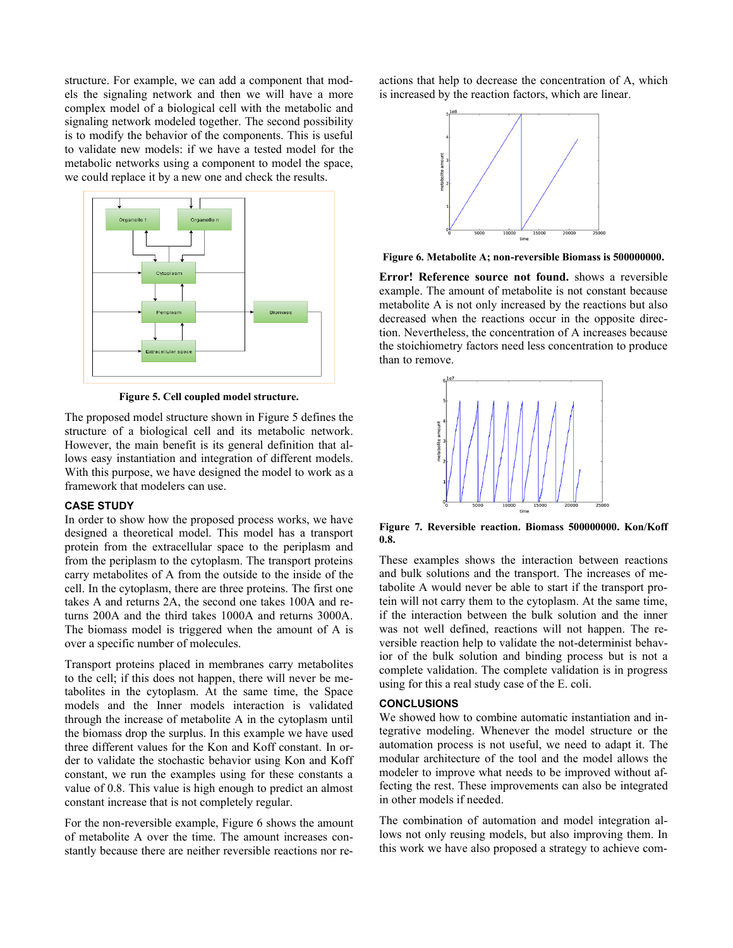structure. For example, we can add a component that models the signaling network and then we will have a more complex model of a biological cell with the metabolic and signaling network modeled together. The second possibility is to modify the behavior of the components. This is useful to validate new models: if we have a tested model for the metabolic networks using a component to model the space, we could replace it by a new one and check the results.



**Figure 5. Cell coupled model structure.**

<span id="page-4-0"></span>The proposed model structure shown in [Figure 5](#page-4-0) defines the structure of a biological cell and its metabolic network. However, the main benefit is its general definition that allows easy instantiation and integration of different models. With this purpose, we have designed the model to work as a framework that modelers can use.

## **CASE STUDY**

In order to show how the proposed process works, we have designed a theoretical model. This model has a transport protein from the extracellular space to the periplasm and from the periplasm to the cytoplasm. The transport proteins carry metabolites of A from the outside to the inside of the cell. In the cytoplasm, there are three proteins. The first one takes A and returns 2A, the second one takes 100A and returns 200A and the third takes 1000A and returns 3000A. The biomass model is triggered when the amount of A is over a specific number of molecules.

Transport proteins placed in membranes carry metabolites to the cell; if this does not happen, there will never be metabolites in the cytoplasm. At the same time, the Space models and the Inner models interaction is validated through the increase of metabolite A in the cytoplasm until the biomass drop the surplus. In this example we have used three different values for the Kon and Koff constant. In order to validate the stochastic behavior using Kon and Koff constant, we run the examples using for these constants a value of 0.8. This value is high enough to predict an almost constant increase that is not completely regular.

For the non-reversible example, [Figure 6](#page-4-1) shows the amount of metabolite A over the time. The amount increases constantly because there are neither reversible reactions nor reactions that help to decrease the concentration of A, which is increased by the reaction factors, which are linear.



<span id="page-4-1"></span>**Figure 6. Metabolite A; non-reversible Biomass is 500000000.**

**Error! Reference source not found.** shows a reversible example. The amount of metabolite is not constant because metabolite A is not only increased by the reactions but also decreased when the reactions occur in the opposite direction. Nevertheless, the concentration of A increases because the stoichiometry factors need less concentration to produce than to remove.



**Figure 7. Reversible reaction. Biomass 500000000. Kon/Koff 0.8.**

These examples shows the interaction between reactions and bulk solutions and the transport. The increases of metabolite A would never be able to start if the transport protein will not carry them to the cytoplasm. At the same time, if the interaction between the bulk solution and the inner was not well defined, reactions will not happen. The reversible reaction help to validate the not-determinist behavior of the bulk solution and binding process but is not a complete validation. The complete validation is in progress using for this a real study case of the E. coli.

## **CONCLUSIONS**

We showed how to combine automatic instantiation and integrative modeling. Whenever the model structure or the automation process is not useful, we need to adapt it. The modular architecture of the tool and the model allows the modeler to improve what needs to be improved without affecting the rest. These improvements can also be integrated in other models if needed.

The combination of automation and model integration allows not only reusing models, but also improving them. In this work we have also proposed a strategy to achieve com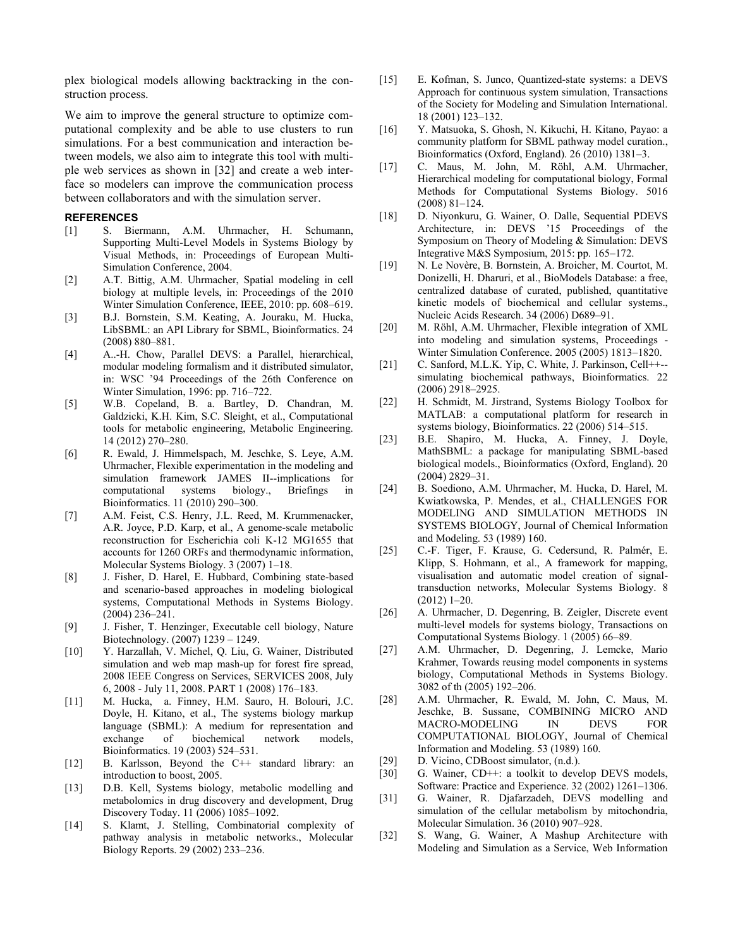plex biological models allowing backtracking in the construction process.

We aim to improve the general structure to optimize computational complexity and be able to use clusters to run simulations. For a best communication and interaction between models, we also aim to integrate this tool with multiple web services as shown in [32] and create a web interface so modelers can improve the communication process between collaborators and with the simulation server.

## **REFERENCES**

- [1] S. Biermann, A.M. Uhrmacher, H. Schumann, Supporting Multi-Level Models in Systems Biology by Visual Methods, in: Proceedings of European Multi-Simulation Conference, 2004.
- [2] A.T. Bittig, A.M. Uhrmacher, Spatial modeling in cell biology at multiple levels, in: Proceedings of the 2010 Winter Simulation Conference, IEEE, 2010: pp. 608–619.
- [3] B.J. Bornstein, S.M. Keating, A. Jouraku, M. Hucka, LibSBML: an API Library for SBML, Bioinformatics. 24 (2008) 880–881.
- [4] A..-H. Chow, Parallel DEVS: a Parallel, hierarchical, modular modeling formalism and it distributed simulator, in: WSC '94 Proceedings of the 26th Conference on Winter Simulation, 1996: pp. 716–722.
- [5] W.B. Copeland, B. a. Bartley, D. Chandran, M. Galdzicki, K.H. Kim, S.C. Sleight, et al., Computational tools for metabolic engineering, Metabolic Engineering. 14 (2012) 270–280.
- [6] R. Ewald, J. Himmelspach, M. Jeschke, S. Leye, A.M. Uhrmacher, Flexible experimentation in the modeling and simulation framework JAMES II--implications for computational systems biology., Briefings in Bioinformatics. 11 (2010) 290–300.
- [7] A.M. Feist, C.S. Henry, J.L. Reed, M. Krummenacker, A.R. Joyce, P.D. Karp, et al., A genome-scale metabolic reconstruction for Escherichia coli K-12 MG1655 that accounts for 1260 ORFs and thermodynamic information, Molecular Systems Biology. 3 (2007) 1–18.
- [8] J. Fisher, D. Harel, E. Hubbard, Combining state-based and scenario-based approaches in modeling biological systems, Computational Methods in Systems Biology. (2004) 236–241.
- [9] J. Fisher, T. Henzinger, Executable cell biology, Nature Biotechnology. (2007) 1239 – 1249.
- [10] Y. Harzallah, V. Michel, Q. Liu, G. Wainer, Distributed simulation and web map mash-up for forest fire spread, 2008 IEEE Congress on Services, SERVICES 2008, July 6, 2008 - July 11, 2008. PART 1 (2008) 176–183.
- [11] M. Hucka, a. Finney, H.M. Sauro, H. Bolouri, J.C. Doyle, H. Kitano, et al., The systems biology markup language (SBML): A medium for representation and exchange of biochemical network models, Bioinformatics. 19 (2003) 524–531.
- [12] B. Karlsson, Beyond the C++ standard library: an introduction to boost, 2005.
- [13] D.B. Kell, Systems biology, metabolic modelling and metabolomics in drug discovery and development, Drug Discovery Today. 11 (2006) 1085–1092.
- [14] S. Klamt, J. Stelling, Combinatorial complexity of pathway analysis in metabolic networks., Molecular Biology Reports. 29 (2002) 233–236.
- [15] E. Kofman, S. Junco, Quantized-state systems: a DEVS Approach for continuous system simulation, Transactions of the Society for Modeling and Simulation International. 18 (2001) 123–132.
- [16] Y. Matsuoka, S. Ghosh, N. Kikuchi, H. Kitano, Payao: a community platform for SBML pathway model curation., Bioinformatics (Oxford, England). 26 (2010) 1381–3.
- [17] C. Maus, M. John, M. Röhl, A.M. Uhrmacher, Hierarchical modeling for computational biology, Formal Methods for Computational Systems Biology. 5016 (2008) 81–124.
- [18] D. Niyonkuru, G. Wainer, O. Dalle, Sequential PDEVS Architecture, in: DEVS '15 Proceedings of the Symposium on Theory of Modeling & Simulation: DEVS Integrative M&S Symposium, 2015: pp. 165–172.
- [19] N. Le Novère, B. Bornstein, A. Broicher, M. Courtot, M. Donizelli, H. Dharuri, et al., BioModels Database: a free, centralized database of curated, published, quantitative kinetic models of biochemical and cellular systems., Nucleic Acids Research. 34 (2006) D689–91.
- [20] M. Röhl, A.M. Uhrmacher, Flexible integration of XML into modeling and simulation systems, Proceedings - Winter Simulation Conference. 2005 (2005) 1813–1820.
- [21] C. Sanford, M.L.K. Yip, C. White, J. Parkinson, Cell++- simulating biochemical pathways, Bioinformatics. 22 (2006) 2918–2925.
- [22] H. Schmidt, M. Jirstrand, Systems Biology Toolbox for MATLAB: a computational platform for research in systems biology, Bioinformatics. 22 (2006) 514–515.
- [23] B.E. Shapiro, M. Hucka, A. Finney, J. Doyle, MathSBML: a package for manipulating SBML-based biological models., Bioinformatics (Oxford, England). 20 (2004) 2829–31.
- [24] B. Soediono, A.M. Uhrmacher, M. Hucka, D. Harel, M. Kwiatkowska, P. Mendes, et al., CHALLENGES FOR MODELING AND SIMULATION METHODS IN SYSTEMS BIOLOGY, Journal of Chemical Information and Modeling. 53 (1989) 160.
- [25] C.-F. Tiger, F. Krause, G. Cedersund, R. Palmér, E. Klipp, S. Hohmann, et al., A framework for mapping, visualisation and automatic model creation of signaltransduction networks, Molecular Systems Biology. 8 (2012) 1–20.
- [26] A. Uhrmacher, D. Degenring, B. Zeigler, Discrete event multi-level models for systems biology, Transactions on Computational Systems Biology. 1 (2005) 66–89.
- [27] A.M. Uhrmacher, D. Degenring, J. Lemcke, Mario Krahmer, Towards reusing model components in systems biology, Computational Methods in Systems Biology. 3082 of th (2005) 192–206.
- [28] A.M. Uhrmacher, R. Ewald, M. John, C. Maus, M. Jeschke, B. Sussane, COMBINING MICRO AND MACRO-MODELING IN DEVS FOR COMPUTATIONAL BIOLOGY, Journal of Chemical Information and Modeling. 53 (1989) 160.
- [29] D. Vicino, CDBoost simulator, (n.d.).
- [30] G. Wainer, CD++: a toolkit to develop DEVS models, Software: Practice and Experience. 32 (2002) 1261–1306.
- [31] G. Wainer, R. Djafarzadeh, DEVS modelling and simulation of the cellular metabolism by mitochondria, Molecular Simulation. 36 (2010) 907–928.
- [32] S. Wang, G. Wainer, A Mashup Architecture with Modeling and Simulation as a Service, Web Information